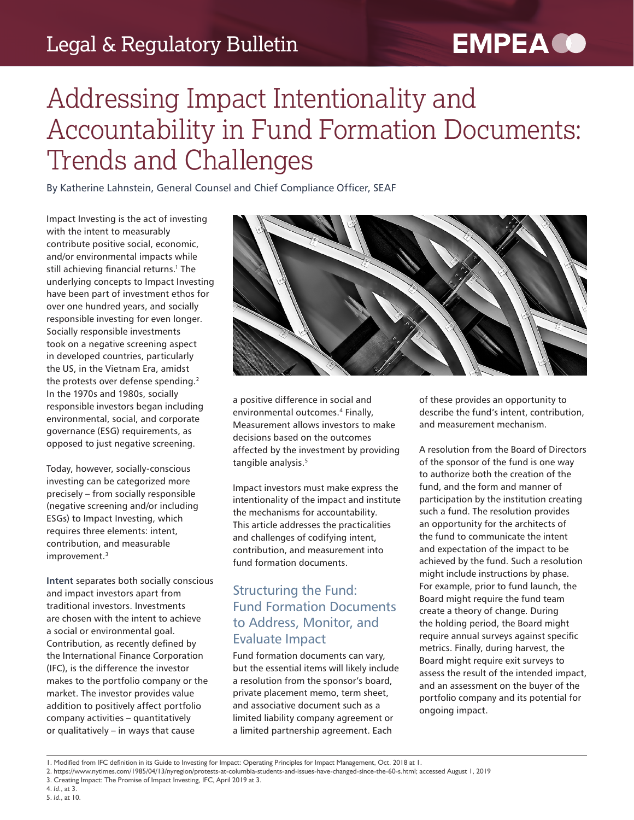### Legal & Regulatory Bulletin

# **EMPEA CO**

## Addressing Impact Intentionality and Accountability in Fund Formation Documents: Trends and Challenges

By Katherine Lahnstein, General Counsel and Chief Compliance Officer, SEAF

Impact Investing is the act of investing with the intent to measurably contribute positive social, economic, and/or environmental impacts while still achieving financial returns.<sup>1</sup> The underlying concepts to Impact Investing have been part of investment ethos for over one hundred years, and socially responsible investing for even longer. Socially responsible investments took on a negative screening aspect in developed countries, particularly the US, in the Vietnam Era, amidst the protests over defense spending. $2$ In the 1970s and 1980s, socially responsible investors began including environmental, social, and corporate governance (ESG) requirements, as opposed to just negative screening.

Today, however, socially-conscious investing can be categorized more precisely – from socially responsible (negative screening and/or including ESGs) to Impact Investing, which requires three elements: intent, contribution, and measurable improvement.<sup>3</sup>

**Intent** separates both socially conscious and impact investors apart from traditional investors. Investments are chosen with the intent to achieve a social or environmental goal. Contribution, as recently defined by the International Finance Corporation (IFC), is the difference the investor makes to the portfolio company or the market. The investor provides value addition to positively affect portfolio company activities – quantitatively or qualitatively – in ways that cause



a positive difference in social and environmental outcomes.<sup>4</sup> Finally, Measurement allows investors to make decisions based on the outcomes affected by the investment by providing tangible analysis.<sup>5</sup>

Impact investors must make express the intentionality of the impact and institute the mechanisms for accountability. This article addresses the practicalities and challenges of codifying intent, contribution, and measurement into fund formation documents.

#### Structuring the Fund: Fund Formation Documents to Address, Monitor, and Evaluate Impact

Fund formation documents can vary, but the essential items will likely include a resolution from the sponsor's board, private placement memo, term sheet, and associative document such as a limited liability company agreement or a limited partnership agreement. Each

of these provides an opportunity to describe the fund's intent, contribution, and measurement mechanism.

A resolution from the Board of Directors of the sponsor of the fund is one way to authorize both the creation of the fund, and the form and manner of participation by the institution creating such a fund. The resolution provides an opportunity for the architects of the fund to communicate the intent and expectation of the impact to be achieved by the fund. Such a resolution might include instructions by phase. For example, prior to fund launch, the Board might require the fund team create a theory of change. During the holding period, the Board might require annual surveys against specific metrics. Finally, during harvest, the Board might require exit surveys to assess the result of the intended impact, and an assessment on the buyer of the portfolio company and its potential for ongoing impact.

<sup>1.</sup> Modified from IFC definition in its Guide to Investing for Impact: Operating Principles for Impact Management, Oct. 2018 at 1.

<sup>2.</sup> https://www.nytimes.com/1985/04/13/nyregion/protests-at-columbia-students-and-issues-have-changed-since-the-60-s.html; accessed August 1, 2019

<sup>3.</sup> Creating Impact: The Promise of Impact Investing, IFC, April 2019 at 3.

<sup>4.</sup> *Id*., at 3. 5. *Id*., at 10.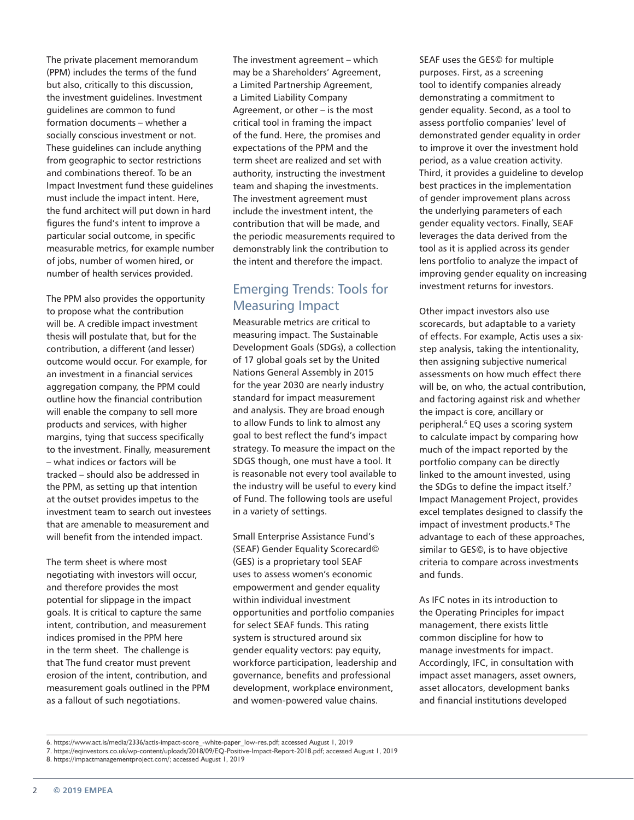The private placement memorandum (PPM) includes the terms of the fund but also, critically to this discussion, the investment guidelines. Investment guidelines are common to fund formation documents – whether a socially conscious investment or not. These guidelines can include anything from geographic to sector restrictions and combinations thereof. To be an Impact Investment fund these guidelines must include the impact intent. Here, the fund architect will put down in hard figures the fund's intent to improve a particular social outcome, in specific measurable metrics, for example number of jobs, number of women hired, or number of health services provided.

The PPM also provides the opportunity to propose what the contribution will be. A credible impact investment thesis will postulate that, but for the contribution, a different (and lesser) outcome would occur. For example, for an investment in a financial services aggregation company, the PPM could outline how the financial contribution will enable the company to sell more products and services, with higher margins, tying that success specifically to the investment. Finally, measurement – what indices or factors will be tracked – should also be addressed in the PPM, as setting up that intention at the outset provides impetus to the investment team to search out investees that are amenable to measurement and will benefit from the intended impact.

The term sheet is where most negotiating with investors will occur, and therefore provides the most potential for slippage in the impact goals. It is critical to capture the same intent, contribution, and measurement indices promised in the PPM here in the term sheet. The challenge is that The fund creator must prevent erosion of the intent, contribution, and measurement goals outlined in the PPM as a fallout of such negotiations.

The investment agreement – which may be a Shareholders' Agreement, a Limited Partnership Agreement, a Limited Liability Company Agreement, or other – is the most critical tool in framing the impact of the fund. Here, the promises and expectations of the PPM and the term sheet are realized and set with authority, instructing the investment team and shaping the investments. The investment agreement must include the investment intent, the contribution that will be made, and the periodic measurements required to demonstrably link the contribution to the intent and therefore the impact.

#### Emerging Trends: Tools for Measuring Impact

Measurable metrics are critical to measuring impact. The Sustainable Development Goals (SDGs), a collection of 17 global goals set by the United Nations General Assembly in 2015 for the year 2030 are nearly industry standard for impact measurement and analysis. They are broad enough to allow Funds to link to almost any goal to best reflect the fund's impact strategy. To measure the impact on the SDGS though, one must have a tool. It is reasonable not every tool available to the industry will be useful to every kind of Fund. The following tools are useful in a variety of settings.

Small Enterprise Assistance Fund's (SEAF) Gender Equality Scorecard© (GES) is a proprietary tool SEAF uses to assess women's economic empowerment and gender equality within individual investment opportunities and portfolio companies for select SEAF funds. This rating system is structured around six gender equality vectors: pay equity, workforce participation, leadership and governance, benefits and professional development, workplace environment, and women-powered value chains.

SEAF uses the GES© for multiple purposes. First, as a screening tool to identify companies already demonstrating a commitment to gender equality. Second, as a tool to assess portfolio companies' level of demonstrated gender equality in order to improve it over the investment hold period, as a value creation activity. Third, it provides a guideline to develop best practices in the implementation of gender improvement plans across the underlying parameters of each gender equality vectors. Finally, SEAF leverages the data derived from the tool as it is applied across its gender lens portfolio to analyze the impact of improving gender equality on increasing investment returns for investors.

Other impact investors also use scorecards, but adaptable to a variety of effects. For example, Actis uses a sixstep analysis, taking the intentionality, then assigning subjective numerical assessments on how much effect there will be, on who, the actual contribution, and factoring against risk and whether the impact is core, ancillary or peripheral.<sup>6</sup> EQ uses a scoring system to calculate impact by comparing how much of the impact reported by the portfolio company can be directly linked to the amount invested, using the SDGs to define the impact itself.<sup>7</sup> Impact Management Project, provides excel templates designed to classify the impact of investment products.<sup>8</sup> The advantage to each of these approaches, similar to GES©, is to have objective criteria to compare across investments and funds.

As IFC notes in its introduction to the Operating Principles for impact management, there exists little common discipline for how to manage investments for impact. Accordingly, IFC, in consultation with impact asset managers, asset owners, asset allocators, development banks and financial institutions developed

<sup>6.</sup> https://www.act.is/media/2336/actis-impact-score\_-white-paper\_low-res.pdf; accessed August 1, 2019

<sup>7.</sup> https://eqinvestors.co.uk/wp-content/uploads/2018/09/EQ-Positive-Impact-Report-2018.pdf; accessed August 1, 2019

<sup>8.</sup> https://impactmanagementproject.com/; accessed August 1, 2019